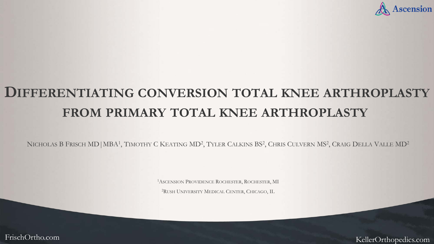

# **DIFFERENTIATING CONVERSION TOTAL KNEE ARTHROPLASTY FROM PRIMARY TOTAL KNEE ARTHROPLASTY**

NICHOLAS B FRISCH MD | MBA<sup>1</sup>, TIMOTHY C KEATING MD<sup>2</sup>, TYLER CALKINS BS<sup>2</sup>, CHRIS CULVERN MS<sup>2</sup>, CRAIG DELLA VALLE MD<sup>2</sup>

1ASCENSION PROVIDENCE ROCHESTER, ROCHESTER, MI

2RUSH UNIVERSITY MEDICAL CENTER, CHICAGO, IL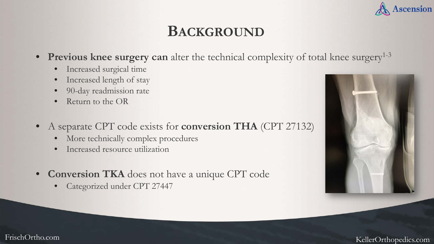

## **BACKGROUND**

- **Previous knee surgery can** alter the technical complexity of total knee surgery<sup>1-3</sup>
	- Increased surgical time
	- Increased length of stay
	- 90-day readmission rate
	- Return to the OR
- A separate CPT code exists for **conversion THA** (CPT 27132)
	- More technically complex procedures
	- Increased resource utilization
- **Conversion TKA** does not have a unique CPT code
	- Categorized under CPT 27447

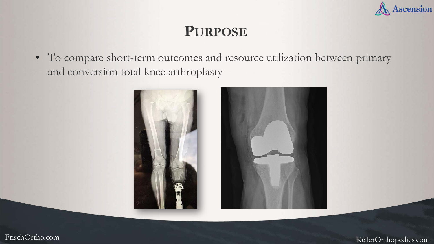

#### **PURPOSE**

• To compare short-term outcomes and resource utilization between primary and conversion total knee arthroplasty



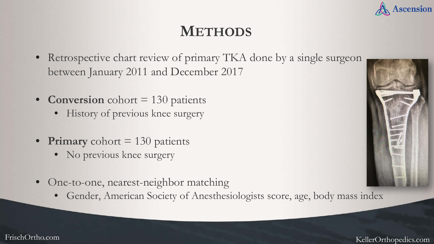

## **METHODS**

- Retrospective chart review of primary TKA done by a single surgeon between January 2011 and December 2017
- **Conversion** cohort = 130 patients
	- History of previous knee surgery
- **Primary** cohort = 130 patients
	- No previous knee surgery
- One-to-one, nearest-neighbor matching
	- Gender, American Society of Anesthesiologists score, age, body mass index

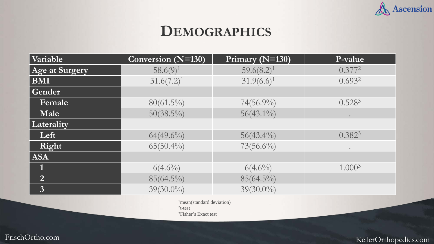

### **DEMOGRAPHICS**

| Variable       | Conversion (N=130) | Primary (N=130) | P-value            |  |
|----------------|--------------------|-----------------|--------------------|--|
| Age at Surgery | $58.6(9)^1$        | $59.6(8.2)^1$   | $0.377^2$          |  |
| <b>BMI</b>     | $31.6(7.2)^1$      | $31.9(6.6)^1$   | $0.693^{2}$        |  |
| Gender         |                    |                 |                    |  |
| Female         | $80(61.5\%)$       | $74(56.9\%)$    | $0.528^{3}$        |  |
| Male           | $50(38.5\%)$       | $56(43.1\%)$    |                    |  |
| Laterality     |                    |                 |                    |  |
| Left           | $64(49.6\%)$       | $56(43.4\%)$    | $0.382^{3}$        |  |
| Right          | $65(50.4\%)$       | $73(56.6\%)$    | $\bullet$          |  |
| <b>ASA</b>     |                    |                 |                    |  |
| 1              | $6(4.6\%)$         | $6(4.6\%)$      | 1.000 <sup>3</sup> |  |
| $\overline{2}$ | $85(64.5\%)$       | $85(64.5\%)$    |                    |  |
| $\overline{3}$ | $39(30.0\%)$       | $39(30.0\%)$    |                    |  |

<sup>1</sup>mean(standard deviation)  $2t-test$ 3Fisher's Exact test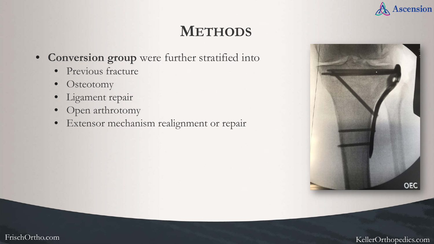

# **METHODS**

- **Conversion group** were further stratified into
	- Previous fracture
	- Osteotomy
	- Ligament repair
	- Open arthrotomy
	- Extensor mechanism realignment or repair

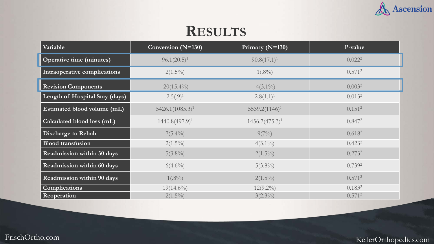

#### **RESULTS**

| Variable                        | Conversion (N=130) | Primary (N=130)   | P-value            |  |
|---------------------------------|--------------------|-------------------|--------------------|--|
| <b>Operative time (minutes)</b> | $96.1(20.5)^1$     | $90.8(17.1)^1$    | 0.022 <sup>2</sup> |  |
| Intraoperative complications    | $2(1.5\%)$         | $1(.8\%)$         | 0.571 <sup>2</sup> |  |
| <b>Revision Components</b>      | $20(15.4\%)$       | $4(3.1\%)$        | 0.003 <sup>2</sup> |  |
| Length of Hospital Stay (days)  | $2.5(.9)^1$        | $2.8(1.1)^1$      | 0.013 <sup>2</sup> |  |
| Estimated blood volume (mL)     | $5426.1(1085.3)^1$ | $5539.2(1146)^1$  | 0.151 <sup>2</sup> |  |
| Calculated blood loss (mL)      | $1440.8(497.9)^1$  | $1456.7(475.3)^1$ | $0.847^2$          |  |
| <b>Discharge to Rehab</b>       | $7(5.4\%)$         | $9(7\%)$          | 0.618 <sup>2</sup> |  |
| <b>Blood transfusion</b>        | $2(1.5\%)$         | $4(3.1\%)$        | $0.423^2$          |  |
| Readmission within 30 days      | $5(3.8\%)$         | $2(1.5\%)$        | $0.273^2$          |  |
| Readmission within 60 days      | $6(4.6\%)$         | $5(3.8\%)$        | 0.739 <sup>2</sup> |  |
| Readmission within 90 days      | $1(.8\%)$          | $2(1.5\%)$        | 0.571 <sup>2</sup> |  |
| <b>Complications</b>            | $19(14.6\%)$       | $12(9.2\%)$       | $0.183^{2}$        |  |
| Reoperation                     | $2(1.5\%)$         | $3(2.3\%)$        | 0.571 <sup>2</sup> |  |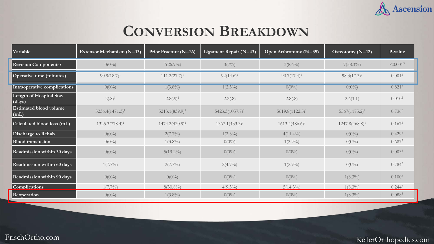

# **CONVERSION BREAKDOWN**

| Variable                              | Extensor Mechanism (N=13) | Prior Fracture (N=26) | Ligament Repair (N=43) | Open Arthrotomy (N=35) | Osteotomy $(N=12)$ | P-value            |
|---------------------------------------|---------------------------|-----------------------|------------------------|------------------------|--------------------|--------------------|
| <b>Revision Components?</b>           | $0(0\%)$                  | $7(26.9\%)$           | 3(7%)                  | $3(8.6\%)$             | $7(58.3\%)$        | $\leq 0.001^3$     |
| Operative time (minutes)              | $90.9(18.7)^1$            | $111.2(27.7)^1$       | $92(14.6)^1$           | $90.7(17.4)^1$         | $98.3(17.3)^1$     | 0.001 <sup>2</sup> |
| Intraoperative complications          | $0(0\%)$                  | $1(3.8\%)$            | $1(2.3\%)$             | $0(0\%)$               | $0(0\%)$           | $0.821^{3}$        |
| Length of Hospital Stay<br>(days)     | $2(.8)^1$                 | $2.8(.9)^1$           | 2.2(.8)                | 2.8(.8)                | 2.6(1.1)           | 0.010 <sup>2</sup> |
| <b>Estimated blood volume</b><br>(mL) | $5236.4(1471.3)^1$        | $5213.1(839.9)^1$     | $5423.3(1057.7)^1$     | $5619.8(1122.5)^1$     | $5567(1175.2)^1$   | $0.736^2$          |
| Calculated blood loss (mL)            | $1325.3(778.4)^1$         | $1474.2(420.9)^1$     | $1367.1(433.3)^1$      | $1613.4(486.6)^1$      | $1247.8(468.8)^1$  | 0.167 <sup>2</sup> |
| Discharge to Rehab                    | $0(0\%)$                  | $2(7.7\%)$            | $1(2.3\%)$             | $4(11.4\%)$            | $0(0\%)$           | 0.429 <sup>3</sup> |
| <b>Blood transfusion</b>              | $0(0\%)$                  | $1(3.8\%)$            | $0(0\%)$               | $1(2.9\%)$             | $0(0\%)$           | 0.687 <sup>3</sup> |
| Readmission within 30 days            | $0(0\%)$                  | $5(19.2\%)$           | $0(0\%)$               | $0(0\%)$               | $0(0\%)$           | 0.003 <sup>3</sup> |
| Readmission within 60 days            | $1(7.7\%)$                | $2(7.7\%)$            | $2(4.7\%)$             | $1(2.9\%)$             | $0(0\%)$           | $0.784^{3}$        |
| Readmission within 90 days            | $0(0\%)$                  | $0(0\%)$              | $0(0\%)$               | $0(0\%)$               | $1(8.3\%)$         | $0.100^{3}$        |
| <b>Complications</b>                  | $1(7.7\%)$                | $8(30.8\%)$           | $4(9.3\%)$             | $5(14.3\%)$            | $1(8.3\%)$         | $0.244^{3}$        |
| Reoperation                           | $0(0\%)$                  | $1(3.8\%)$            | $0(0\%)$               | $0(0\%)$               | $1(8.3\%)$         | $0.088^{3}$        |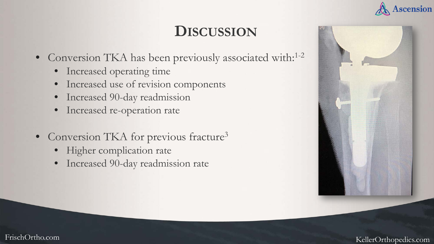#### **Ascension**

# **DISCUSSION**

- Conversion TKA has been previously associated with:<sup>1-2</sup>
	- Increased operating time
	- Increased use of revision components
	- Increased 90-day readmission
	- Increased re-operation rate
- Conversion TKA for previous fracture<sup>3</sup>
	- Higher complication rate
	- Increased 90-day readmission rate

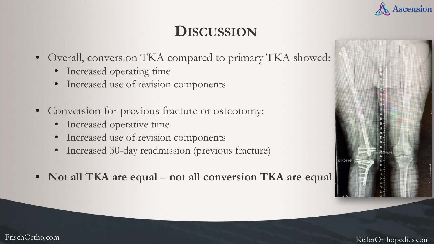

# **DISCUSSION**

- Overall, conversion TKA compared to primary TKA showed:
	- Increased operating time
	- Increased use of revision components
- Conversion for previous fracture or osteotomy:
	- Increased operative time
	- Increased use of revision components
	- Increased 30-day readmission (previous fracture)
- Not all TKA are equal not all conversion TKA are equal

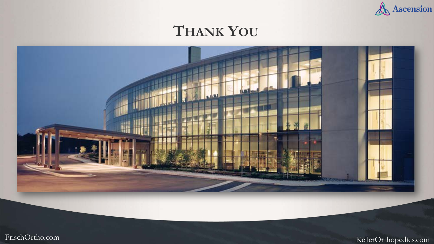

## **THANK YOU**